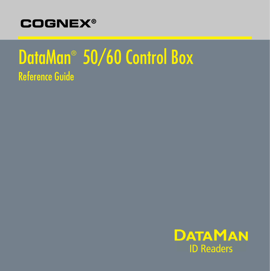

# DataMan® 50/60 Control Box Reference Guide

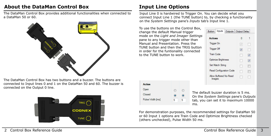# **About the DataMan Control Box**

The DataMan Control Box provides additional functionalities when connected to a DataMan 50 or 60.



The DataMan Control Box has two buttons and a buzzer. The buttons are connected to Input lines 0 and 1 on the DataMan 50 and 60. The buzzer is connected on the Output 0 line.



# **Input Line Options**

Input Line 0 is hardwired to Trigger On. You can decide what you connect Input Line 1 (the TUNE button) to, by checking a functionality on the *System Settings* pane's *Inputs* tab's Input line 1.

To use the buttons on the Control Box, change the default Manual trigger mode on the *Light and Imager Settings* pane to any trigger mode other than Manual and Presentation. Press the TUNE button and then the TRIG button in order for the funtionality connected to the TUNE button to work.



| <b>Action</b>    |           |   |
|------------------|-----------|---|
| Open             |           |   |
| Closed           | $\bullet$ |   |
| Pulse Width [ms] | 5         | 5 |
|                  |           |   |

The default buzzer duration is 5 ms. On the *System Settings* pane's *Outputs* tab, you can set it to maximum 10000 ms.

For demonstration purposes, the recommended settings for DataMan 50 or 60 Input 1 options are Train Code and Optimize Brightness checked (others unchecked), Pulse Width 50 ms.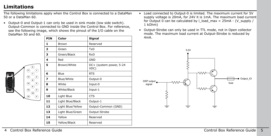## **Limitations**

The following limitations apply when the Control Box is connected to a DataMan 50 or a DataMan 60.

• Output-0 and Output-1 can only be used in sink mode (low side switch). Output-Common is connected to GND inside the Control Box. For reference, see the following image, which shows the pinout of the I/O cable on the DataMan 50 and 60.

| PIN                     | Color             | Signal                          |
|-------------------------|-------------------|---------------------------------|
| 1                       | Brown             | Reserved                        |
| $\overline{\mathbf{z}}$ | Green             | TxD                             |
| з                       | Green/Black       | RxD                             |
| 4                       | Red               | GND                             |
| 5                       | Brown/White       | DC+ (system power, 5-24<br>VDC) |
| 6                       | Blue              | <b>RTS</b>                      |
| 7                       | Blue/White        | Output-0                        |
| 8                       | White             | Input-0                         |
| 9                       | White/Black       | Input-1                         |
| 10                      | Light Blue        | <b>CTS</b>                      |
| 11                      | Light Blue/Black  | Output-1                        |
| 12                      | Light Blue/Yellow | Output-Common (GND)             |
| 13                      | Light Blue/Green  | Output-Strobe                   |
| 14                      | Yellow            | Reserved                        |
| 15                      | Yellow/Black      | Reserved                        |
|                         |                   |                                 |

- Load connected to Output-0 is limited. The maximum current for 5V supply voltage is 20mA, for 24V it is 1mA. The maximum load current for Output 0 can be calculated by  $l$  load max = 25mA - (V supply / 1 kOhm)
- Output-Strobe can only be used in TTL mode, not in Open collector mode. The maximum load current at Output-Strobe is reduced by 4mA.

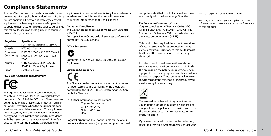### **Compliance Statements**

The DataMan Control Box meets or exceeds the requirements of all applicable standards organizations for safe operation. However, as with any electrical equipment, the best way to ensure safe operation is to operate them according to the agency guidelines that follow. Please read these guidelines carefully before using your device.

| Regulator  | <b>Specification</b>            |
|------------|---------------------------------|
| <b>USA</b> | FCC Part 15, Subpart B, Class A |
| Canada     | ICES-003, Class A               |
| European   | EN55022:2006 +A1:2007, Class A  |
| Community  | EN55024:1998 +A1:2001 +A2:      |
|            | 2003                            |
| Australia  | C-TICK, AS/NZS CISPR 22 / EN    |
|            | 55022 for Class A Equipment     |
| pan        | J55022, Class A                 |

#### **FCC Class A Compliance Statement**



This equipment has been tested and found to comply with the limits for a Class A digital device, pursuant to Part 15 of the FCC rules. These limits are designed to provide reasonable protection against harmful interference when the equipment is operated in a commercial environment. This equipment generates, uses, and can radiate radio frequency energy and, if not installed and used in accordance with the instructions, may cause harmful interference to radio communications. Operation of this

equipment in a residential area is likely to cause harmful interference, in which case the user will be required to correct the interference at personal expense.

#### **Canadian Compliance**

This Class A digital apparatus complies with Canadian ICES-003.

Cet appareil numérique de la classe A est conforme à la norme NMB-003 du Canada.

#### **C-Tick Statement**



Conforms to AS/NZS CISPR 22/ EN 55022 for Class A Equipment.

#### **European Compliance**

The CE mark on the product indicates that the system has been tested to and conforms to the provisions noted within the 2004/108/EEC Electromagnetic Compatibility Directive.

For further information please contact: Cognex Corporation One Vision Drive Natick, MA 01760 USA

Cognex Corporation shall not be liable for use of our product with equipment (i.e., power supplies, personal computers, etc.) that is not CE marked and does not comply with the Low Voltage Directive.

#### **For European Community Users**

Cognex complies with Directive 2002/96/EC OF THE EUROPEAN PARLIAMENT AND OF THE COUNCIL of 27 January 2003 on waste electrical and electronic equipment (WEEE).

This product has required the extraction and use of natural resources for its production. It may contain hazardous substances that could impact health and the environment, if not properly disposed.

In order to avoid the dissemination of those substances in our environment and to diminish the pressure on the natural resources, we encourage you to use the appropriate take-back systems for product disposal. Those systems will reuse or recycle most of the materials of the product you are disposing in a sound way.



The crossed out wheeled bin symbol informs you that the product should not be disposed of along with municipal waste and invites you to use the appropriate separate take-back systems for product disposal.

If you need more information on the collection, reuse, and recycling systems, please contact your local or regional waste administration.

You may also contact your supplier for more information on the environmental performance of this product.